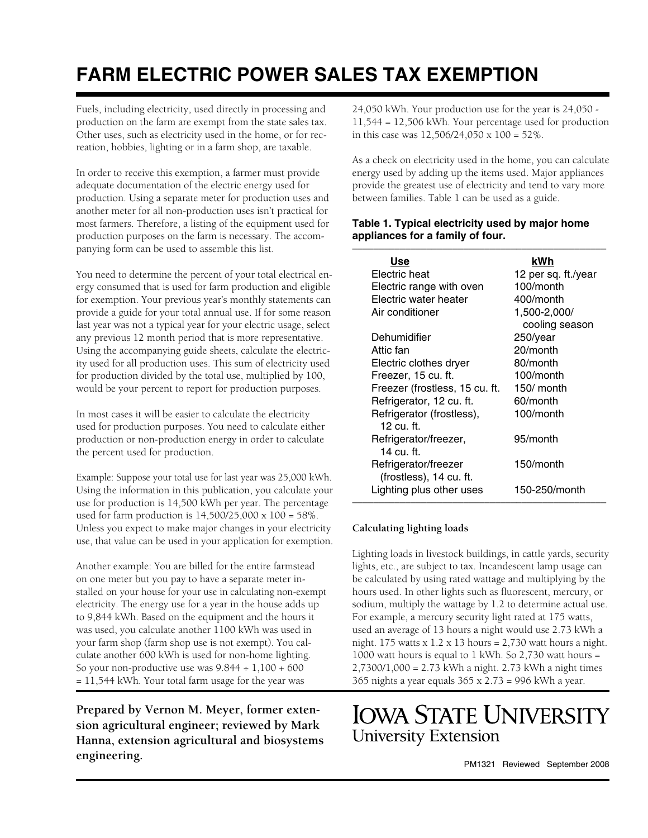# **FARM ELECTRIC POWER SALES TAX EXEMPTION**

Fuels, including electricity, used directly in processing and production on the farm are exempt from the state sales tax. Other uses, such as electricity used in the home, or for recreation, hobbies, lighting or in a farm shop, are taxable.

In order to receive this exemption, a farmer must provide adequate documentation of the electric energy used for production. Using a separate meter for production uses and another meter for all non-production uses isn't practical for most farmers. Therefore, a listing of the equipment used for production purposes on the farm is necessary. The accompanying form can be used to assemble this list.

You need to determine the percent of your total electrical energy consumed that is used for farm production and eligible for exemption. Your previous year's monthly statements can provide a guide for your total annual use. If for some reason last year was not a typical year for your electric usage, select any previous 12 month period that is more representative. Using the accompanying guide sheets, calculate the electricity used for all production uses. This sum of electricity used for production divided by the total use, multiplied by 100, would be your percent to report for production purposes.

In most cases it will be easier to calculate the electricity used for production purposes. You need to calculate either production or non-production energy in order to calculate the percent used for production.

Example: Suppose your total use for last year was 25,000 kWh. Using the information in this publication, you calculate your use for production is 14,500 kWh per year. The percentage used for farm production is 14,500/25,000 x 100 = 58%. Unless you expect to make major changes in your electricity use, that value can be used in your application for exemption.

Another example: You are billed for the entire farmstead on one meter but you pay to have a separate meter installed on your house for your use in calculating non-exempt electricity. The energy use for a year in the house adds up to 9,844 kWh. Based on the equipment and the hours it was used, you calculate another 1100 kWh was used in your farm shop (farm shop use is not exempt). You calculate another 600 kWh is used for non-home lighting. So your non-productive use was  $9.844 \div 1,100 + 600$ = 11,544 kWh. Your total farm usage for the year was

**Prepared by Vernon M. Meyer, former extension agricultural engineer; reviewed by Mark Hanna, extension agricultural and biosystems engineering.** PM1321 Reviewed September 2008

24,050 kWh. Your production use for the year is 24,050 - 11,544 = 12,506 kWh. Your percentage used for production in this case was 12,506/24,050 x 100 = 52%.

As a check on electricity used in the home, you can calculate energy used by adding up the items used. Major appliances provide the greatest use of electricity and tend to vary more between families. Table 1 can be used as a guide.

#### **Table 1. Typical electricity used by major home appliances for a family of four.** \_\_\_\_\_\_\_\_\_\_\_\_\_\_\_\_\_\_\_\_\_\_\_\_\_\_\_\_\_\_\_\_\_\_\_\_\_\_\_\_\_\_\_\_\_\_\_\_

| Use                            | kWh                 |
|--------------------------------|---------------------|
| Electric heat                  | 12 per sq. ft./year |
| Electric range with oven       | $100/m$ onth        |
| Electric water heater          | 400/month           |
| Air conditioner                | 1,500-2,000/        |
|                                | cooling season      |
| Dehumidifier                   | $250$ /year         |
| Attic fan                      | 20/month            |
| Electric clothes dryer         | 80/month            |
| Freezer, 15 cu. ft.            | 100/month           |
| Freezer (frostless, 15 cu. ft. | 150/ month          |
| Refrigerator, 12 cu. ft.       | 60/month            |
| Refrigerator (frostless),      | 100/month           |
| 12 cu. ft.                     |                     |
| Refrigerator/freezer,          | 95/month            |
| 14 cu. ft.                     |                     |
| Refrigerator/freezer           | 150/month           |
| (frostless), 14 cu. ft.        |                     |
| Lighting plus other uses       | 150-250/month       |
|                                |                     |

### **Calculating lighting loads**

Lighting loads in livestock buildings, in cattle yards, security lights, etc., are subject to tax. Incandescent lamp usage can be calculated by using rated wattage and multiplying by the hours used. In other lights such as fluorescent, mercury, or sodium, multiply the wattage by 1.2 to determine actual use. For example, a mercury security light rated at 175 watts, used an average of 13 hours a night would use 2.73 kWh a night. 175 watts x 1.2 x 13 hours =  $2,730$  watt hours a night. 1000 watt hours is equal to 1 kWh. So 2,730 watt hours = 2,7300/1,000 = 2.73 kWh a night. 2.73 kWh a night times 365 nights a year equals 365 x 2.73 = 996 kWh a year.

# **IOWA STATE UNIVERSITY University Extension**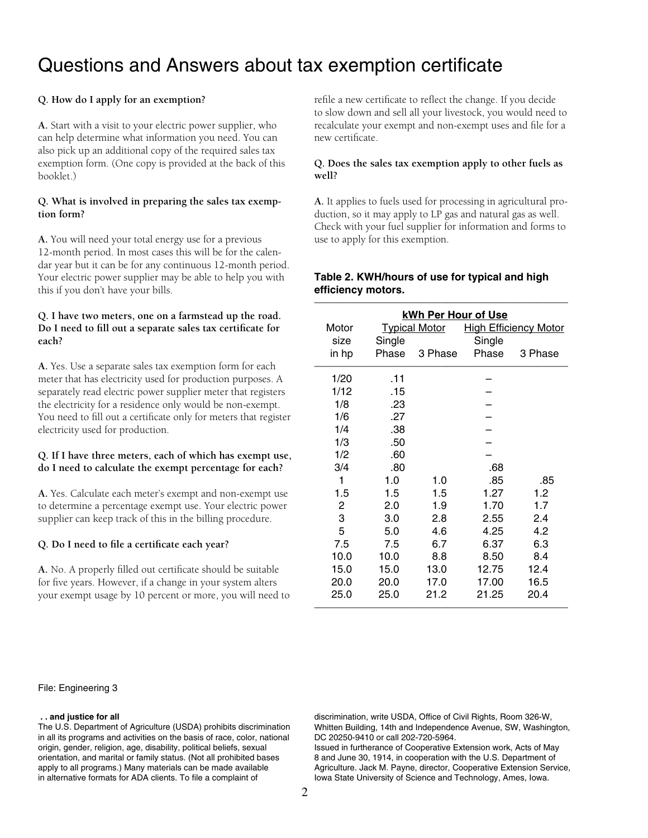# Questions and Answers about tax exemption certificate

### **Q. How do I apply for an exemption?**

**A.** Start with a visit to your electric power supplier, who can help determine what information you need. You can also pick up an additional copy of the required sales tax exemption form. (One copy is provided at the back of this booklet.)

#### **Q. What is involved in preparing the sales tax exemption form?**

**A.** You will need your total energy use for a previous 12-month period. In most cases this will be for the calendar year but it can be for any continuous 12-month period. Your electric power supplier may be able to help you with this if you don't have your bills.

#### **Q. I have two meters, one on a farmstead up the road.**  Do I need to fill out a separate sales tax certificate for **each?**

**A.** Yes. Use a separate sales tax exemption form for each meter that has electricity used for production purposes. A separately read electric power supplier meter that registers the electricity for a residence only would be non-exempt. You need to fill out a certificate only for meters that register electricity used for production.

#### **Q. If I have three meters, each of which has exempt use, do I need to calculate the exempt percentage for each?**

**A.** Yes. Calculate each meter's exempt and non-exempt use to determine a percentage exempt use. Your electric power supplier can keep track of this in the billing procedure.

#### Q. Do I need to file a certificate each year?

A. No. A properly filled out certificate should be suitable for five years. However, if a change in your system alters your exempt usage by 10 percent or more, you will need to

File: Engineering 3

#### **. . and justice for all**

The U.S. Department of Agriculture (USDA) prohibits discrimination in all its programs and activities on the basis of race, color, national origin, gender, religion, age, disability, political beliefs, sexual orientation, and marital or family status. (Not all prohibited bases apply to all programs.) Many materials can be made available in alternative formats for ADA clients. To file a complaint of

refile a new certificate to reflect the change. If you decide to slow down and sell all your livestock, you would need to recalculate your exempt and non-exempt uses and file for a new certificate

#### **Q. Does the sales tax exemption apply to other fuels as well?**

**A.** It applies to fuels used for processing in agricultural production, so it may apply to LP gas and natural gas as well. Check with your fuel supplier for information and forms to use to apply for this exemption.

|                | kWh Per Hour of Use |                      |        |                              |  |  |
|----------------|---------------------|----------------------|--------|------------------------------|--|--|
| Motor          |                     | <b>Typical Motor</b> |        | <b>High Efficiency Motor</b> |  |  |
| size           | Single              |                      | Single |                              |  |  |
| in hp          | Phase               | 3 Phase              | Phase  | 3 Phase                      |  |  |
| 1/20           | .11                 |                      |        |                              |  |  |
| 1/12           | .15                 |                      |        |                              |  |  |
| 1/8            | .23                 |                      |        |                              |  |  |
| 1/6            | .27                 |                      |        |                              |  |  |
| 1/4            | .38                 |                      |        |                              |  |  |
| 1/3            | .50                 |                      |        |                              |  |  |
| 1/2            | .60                 |                      |        |                              |  |  |
| 3/4            | .80                 |                      | .68    |                              |  |  |
| 1              | 1.0                 | 1.0                  | .85    | .85                          |  |  |
| 1.5            | 1.5                 | 1.5                  | 1.27   | 1.2                          |  |  |
| $\overline{c}$ | 2.0                 | 1.9                  | 1.70   | 1.7                          |  |  |
| 3              | 3.0                 | 2.8                  | 2.55   | 2.4                          |  |  |
| 5              | 5.0                 | 4.6                  | 4.25   | 4.2                          |  |  |
| 7.5            | 7.5                 | 6.7                  | 6.37   | 6.3                          |  |  |
| 10.0           | 10.0                | 8.8                  | 8.50   | 8.4                          |  |  |
| 15.0           | 15.0                | 13.0                 | 12.75  | 12.4                         |  |  |
| 20.0           | 20.0                | 17.0                 | 17.00  | 16.5                         |  |  |
| 25.0           | 25.0                | 21.2                 | 21.25  | 20.4                         |  |  |

#### **Table 2. KWH/hours of use for typical and high**  efficiency motors.

discrimination, write USDA, Office of Civil Rights, Room 326-W, Whitten Building, 14th and Independence Avenue, SW, Washington, DC 20250-9410 or call 202-720-5964.

Issued in furtherance of Cooperative Extension work, Acts of May 8 and June 30, 1914, in cooperation with the U.S. Department of Agriculture. Jack M. Payne, director, Cooperative Extension Service, Iowa State University of Science and Technology, Ames, Iowa.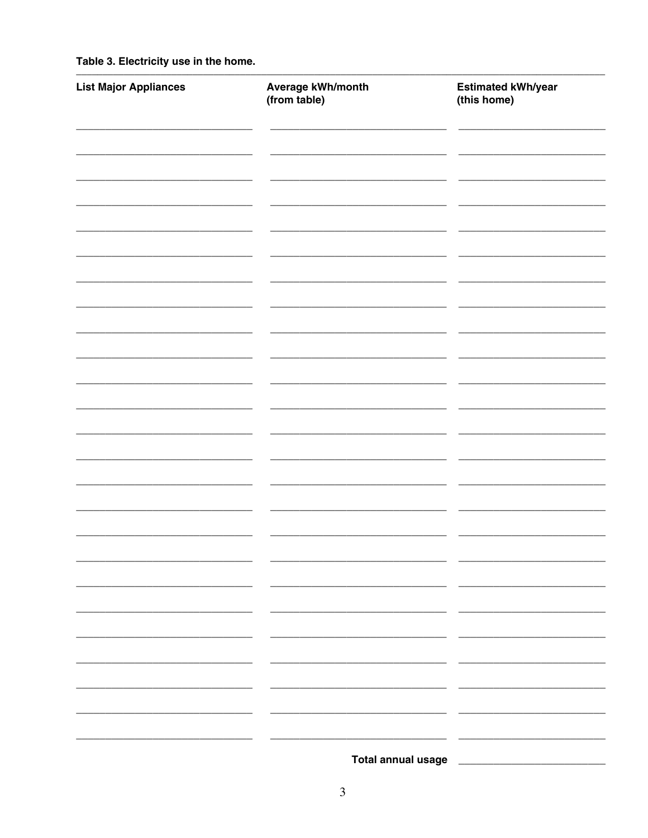Table 3. Electricity use in the home.

| <b>List Major Appliances</b> | Average kWh/month<br>(from table) | Estimated kWh/year<br>(this home) |
|------------------------------|-----------------------------------|-----------------------------------|
|                              |                                   |                                   |
|                              |                                   |                                   |
|                              |                                   |                                   |
|                              |                                   |                                   |
|                              |                                   |                                   |
|                              |                                   |                                   |
|                              |                                   |                                   |
|                              |                                   |                                   |
|                              |                                   |                                   |
|                              |                                   |                                   |
|                              |                                   |                                   |
|                              |                                   |                                   |
|                              |                                   |                                   |
|                              |                                   |                                   |
|                              |                                   |                                   |
|                              |                                   |                                   |
|                              |                                   |                                   |
|                              |                                   |                                   |
|                              |                                   |                                   |
|                              | <b>Total annual usage</b>         |                                   |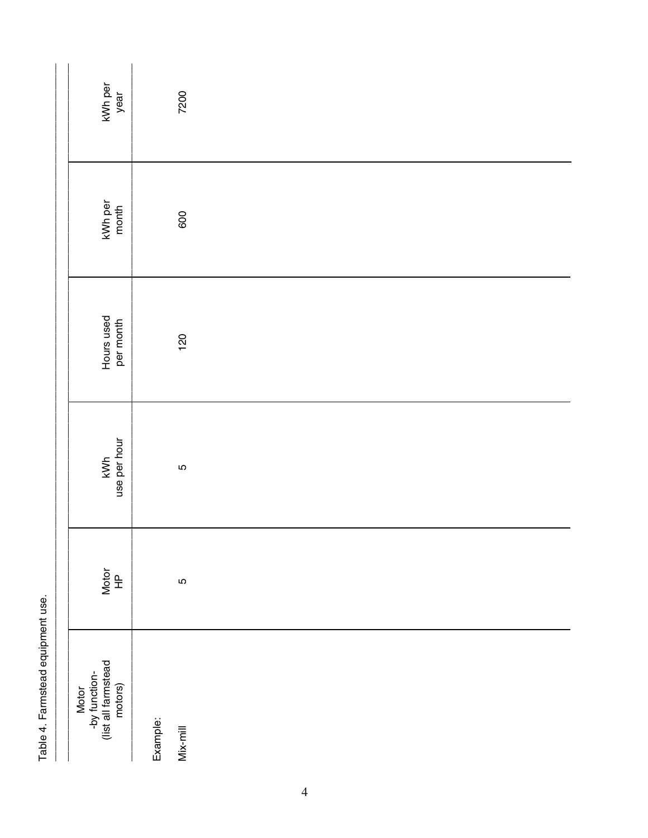| kWh per<br>year                                          | 7200                 |  |  |  |
|----------------------------------------------------------|----------------------|--|--|--|
| kWh per<br>month                                         | 600                  |  |  |  |
| Hours used<br>per month                                  | 120                  |  |  |  |
| use per hour<br>kWh                                      | LO                   |  |  |  |
| Notor<br>HP                                              | LO                   |  |  |  |
| Motor<br>-by function-<br>(list all farmstead<br>motors) | Example:<br>Mix-mill |  |  |  |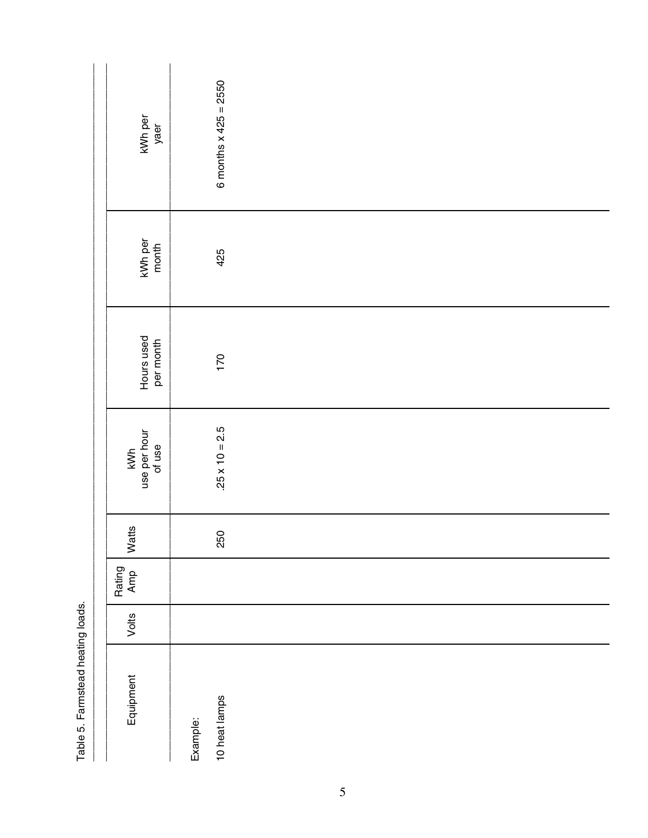| kWh per<br>yaer               | 6 months $x$ 425 = 2550   |
|-------------------------------|---------------------------|
| kWh per<br>month              | 425                       |
| Hours used<br>per month       | 170                       |
| kWh<br>use per hour<br>of use | $.25 \times 10 = 2.5$     |
| Watts                         | 250                       |
| Rating<br>Amp                 |                           |
| Volts                         |                           |
| Equipment                     | 10 heat lamps<br>Example: |

Table 5. Farmstead heating loads.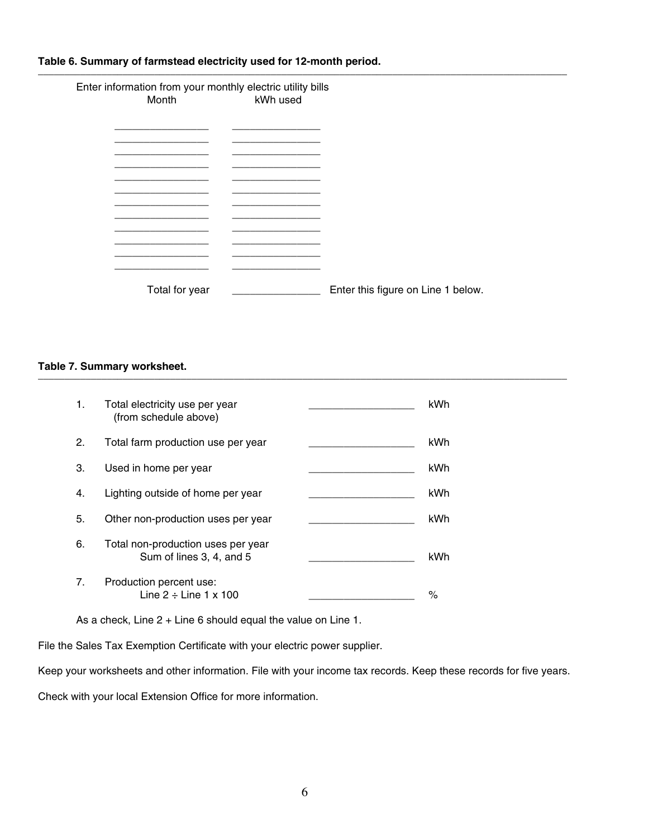#### **Table 6. Summary of farmstead electricity used for 12-month period.**  $\_$  ,  $\_$  ,  $\_$  ,  $\_$  ,  $\_$  ,  $\_$  ,  $\_$  ,  $\_$  ,  $\_$  ,  $\_$  ,  $\_$  ,  $\_$  ,  $\_$  ,  $\_$  ,  $\_$  ,  $\_$  ,  $\_$  ,  $\_$  ,  $\_$  ,  $\_$  ,  $\_$  ,  $\_$  ,  $\_$  ,  $\_$  ,  $\_$  ,  $\_$  ,  $\_$  ,  $\_$  ,  $\_$  ,  $\_$  ,  $\_$  ,  $\_$  ,  $\_$  ,  $\_$  ,  $\_$  ,  $\_$  ,  $\_$  ,

 Enter information from your monthly electric utility bills kWh used

| Total for year | Enter this figure on Line 1 below. |
|----------------|------------------------------------|

#### **Table 7. Summary worksheet.** \_\_\_\_\_\_\_\_\_\_\_\_\_\_\_\_\_\_\_\_\_\_\_\_\_\_\_\_\_\_\_\_\_\_\_\_\_\_\_\_\_\_\_\_\_\_\_\_\_\_\_\_\_\_\_\_\_\_\_\_\_\_\_\_\_\_\_\_\_\_\_\_\_\_\_\_\_\_\_\_\_\_\_\_\_\_\_\_\_\_\_\_\_\_\_\_\_\_\_\_

| 1. | Total electricity use per year<br>(from schedule above)        | kWh  |
|----|----------------------------------------------------------------|------|
| 2. | Total farm production use per year                             | kWh  |
| 3. | Used in home per year                                          | kWh  |
| 4. | Lighting outside of home per year                              | kWh  |
| 5. | Other non-production uses per year                             | kWh  |
| 6. | Total non-production uses per year<br>Sum of lines 3, 4, and 5 | kWh  |
| 7. | Production percent use:<br>Line $2 \div$ Line 1 x 100          | $\%$ |

As a check, Line 2 + Line 6 should equal the value on Line 1.

File the Sales Tax Exemption Certificate with your electric power supplier.

Keep your worksheets and other information. File with your income tax records. Keep these records for five years.

Check with your local Extension Office for more information.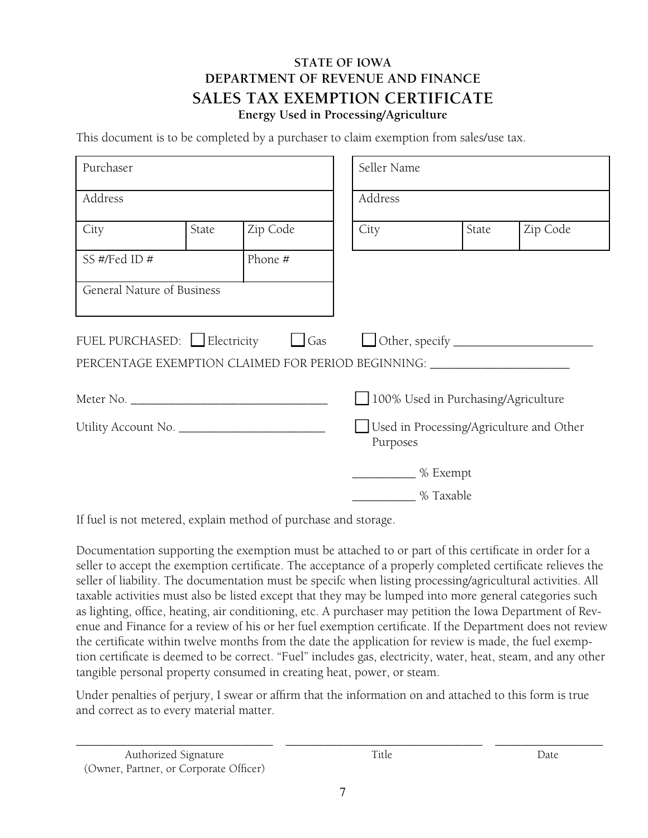## **STATE OF IOWA DEPARTMENT OF REVENUE AND FINANCE SALES TAX EXEMPTION CERTIFICATE Energy Used in Processing/Agriculture**

This document is to be completed by a purchaser to claim exemption from sales/use tax.

| Purchaser                  |       |                                                                                                                       | Seller Name                                          |                                     |       |          |  |  |
|----------------------------|-------|-----------------------------------------------------------------------------------------------------------------------|------------------------------------------------------|-------------------------------------|-------|----------|--|--|
| Address                    |       |                                                                                                                       |                                                      | Address                             |       |          |  |  |
| City                       | State | Zip Code                                                                                                              | City                                                 |                                     | State | Zip Code |  |  |
| SS #/Fed ID #              |       | Phone #                                                                                                               |                                                      |                                     |       |          |  |  |
| General Nature of Business |       |                                                                                                                       |                                                      |                                     |       |          |  |  |
|                            |       | FUEL PURCHASED: Electricity   Gas<br>PERCENTAGE EXEMPTION CLAIMED FOR PERIOD BEGINNING: _____________________________ |                                                      |                                     |       |          |  |  |
| Meter No.                  |       |                                                                                                                       |                                                      | 100% Used in Purchasing/Agriculture |       |          |  |  |
|                            |       |                                                                                                                       | Used in Processing/Agriculture and Other<br>Purposes |                                     |       |          |  |  |
|                            |       | % Exempt                                                                                                              |                                                      |                                     |       |          |  |  |
|                            |       |                                                                                                                       | % Taxable                                            |                                     |       |          |  |  |

If fuel is not metered, explain method of purchase and storage.

Documentation supporting the exemption must be attached to or part of this certificate in order for a seller to accept the exemption certificate. The acceptance of a properly completed certificate relieves the seller of liability. The documentation must be specifc when listing processing/agricultural activities. All taxable activities must also be listed except that they may be lumped into more general categories such as lighting, office, heating, air conditioning, etc. A purchaser may petition the Iowa Department of Revenue and Finance for a review of his or her fuel exemption certificate. If the Department does not review the certificate within twelve months from the date the application for review is made, the fuel exemption certificate is deemed to be correct. "Fuel" includes gas, electricity, water, heat, steam, and any other tangible personal property consumed in creating heat, power, or steam.

Under penalties of perjury, I swear or affirm that the information on and attached to this form is true and correct as to every material matter.